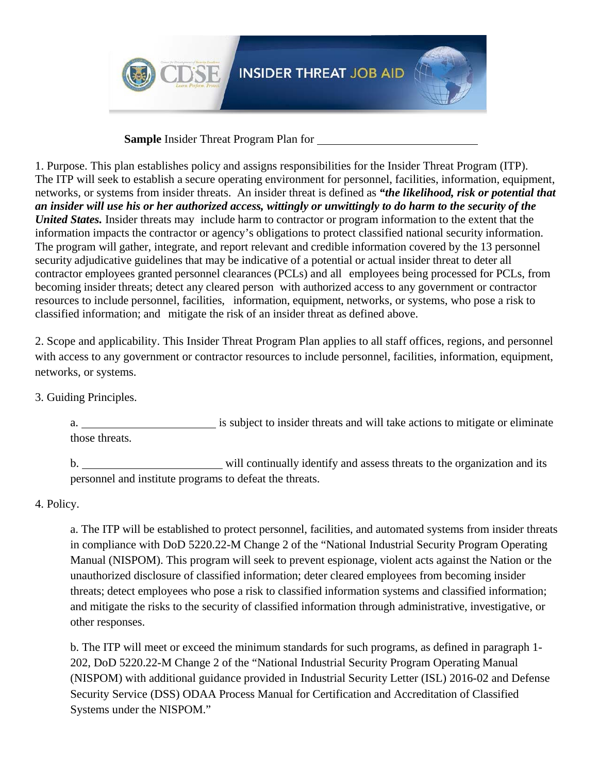

**Sample** Insider Threat Program Plan for

1. Purpose. This plan establishes policy and assigns responsibilities for the Insider Threat Program (ITP). The ITP will seek to establish a secure operating environment for personnel, facilities, information, equipment, networks, or systems from insider threats. An insider threat is defined as *"the likelihood, risk or potential that an insider will use his or her authorized access, wittingly or unwittingly to do harm to the security of the United States.* Insider threats may include harm to contractor or program information to the extent that the information impacts the contractor or agency's obligations to protect classified national security information. The program will gather, integrate, and report relevant and credible information covered by the 13 personnel security adjudicative guidelines that may be indicative of a potential or actual insider threat to deter all contractor employees granted personnel clearances (PCLs) and all employees being processed for PCLs, from becoming insider threats; detect any cleared person with authorized access to any government or contractor resources to include personnel, facilities, information, equipment, networks, or systems, who pose a risk to classified information; and mitigate the risk of an insider threat as defined above.

2. Scope and applicability. This Insider Threat Program Plan applies to all staff offices, regions, and personnel with access to any government or contractor resources to include personnel, facilities, information, equipment, networks, or systems.

3. Guiding Principles.

a. is subject to insider threats and will take actions to mitigate or eliminate those threats.

b. will continually identify and assess threats to the organization and its personnel and institute programs to defeat the threats.

4. Policy.

a. The ITP will be established to protect personnel, facilities, and automated systems from insider threats in compliance with DoD 5220.22-M Change 2 of the "National Industrial Security Program Operating Manual (NISPOM). This program will seek to prevent espionage, violent acts against the Nation or the unauthorized disclosure of classified information; deter cleared employees from becoming insider threats; detect employees who pose a risk to classified information systems and classified information; and mitigate the risks to the security of classified information through administrative, investigative, or other responses.

b. The ITP will meet or exceed the minimum standards for such programs, as defined in paragraph 1- 202, DoD 5220.22-M Change 2 of the "National Industrial Security Program Operating Manual (NISPOM) with additional guidance provided in Industrial Security Letter (ISL) 2016-02 and Defense Security Service (DSS) ODAA Process Manual for Certification and Accreditation of Classified Systems under the NISPOM."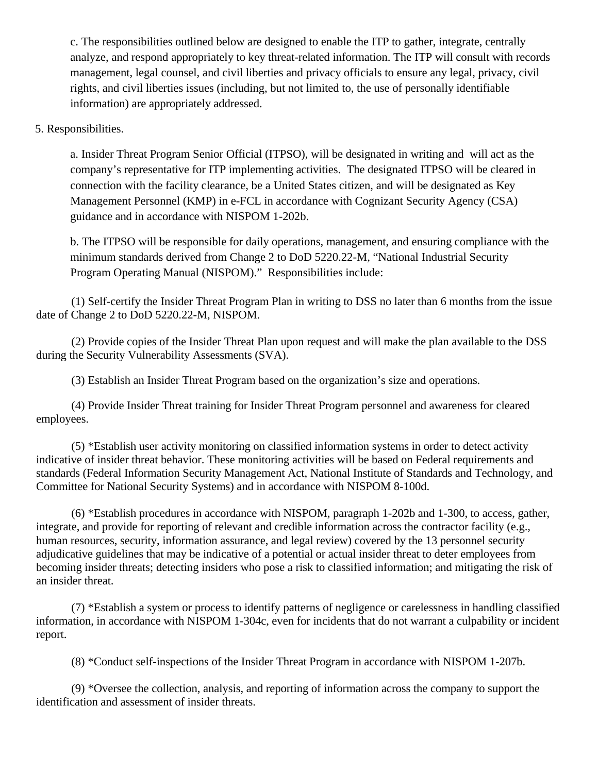c. The responsibilities outlined below are designed to enable the ITP to gather, integrate, centrally analyze, and respond appropriately to key threat-related information. The ITP will consult with records management, legal counsel, and civil liberties and privacy officials to ensure any legal, privacy, civil rights, and civil liberties issues (including, but not limited to, the use of personally identifiable information) are appropriately addressed.

5. Responsibilities.

a. Insider Threat Program Senior Official (ITPSO), will be designated in writing and will act as the company's representative for ITP implementing activities. The designated ITPSO will be cleared in connection with the facility clearance, be a United States citizen, and will be designated as Key Management Personnel (KMP) in e-FCL in accordance with Cognizant Security Agency (CSA) guidance and in accordance with NISPOM 1-202b.

b. The ITPSO will be responsible for daily operations, management, and ensuring compliance with the minimum standards derived from Change 2 to DoD 5220.22-M, "National Industrial Security Program Operating Manual (NISPOM)." Responsibilities include:

(1) Self-certify the Insider Threat Program Plan in writing to DSS no later than 6 months from the issue date of Change 2 to DoD 5220.22-M, NISPOM.

(2) Provide copies of the Insider Threat Plan upon request and will make the plan available to the DSS during the Security Vulnerability Assessments (SVA).

(3) Establish an Insider Threat Program based on the organization's size and operations.

(4) Provide Insider Threat training for Insider Threat Program personnel and awareness for cleared employees.

(5) \*Establish user activity monitoring on classified information systems in order to detect activity indicative of insider threat behavior. These monitoring activities will be based on Federal requirements and standards (Federal Information Security Management Act, National Institute of Standards and Technology, and Committee for National Security Systems) and in accordance with NISPOM 8-100d.

(6) \*Establish procedures in accordance with NISPOM, paragraph 1-202b and 1-300, to access, gather, integrate, and provide for reporting of relevant and credible information across the contractor facility (e.g., human resources, security, information assurance, and legal review) covered by the 13 personnel security adjudicative guidelines that may be indicative of a potential or actual insider threat to deter employees from becoming insider threats; detecting insiders who pose a risk to classified information; and mitigating the risk of an insider threat.

(7) \*Establish a system or process to identify patterns of negligence or carelessness in handling classified information, in accordance with NISPOM 1-304c, even for incidents that do not warrant a culpability or incident report.

(8) \*Conduct self-inspections of the Insider Threat Program in accordance with NISPOM 1-207b.

(9) \*Oversee the collection, analysis, and reporting of information across the company to support the identification and assessment of insider threats.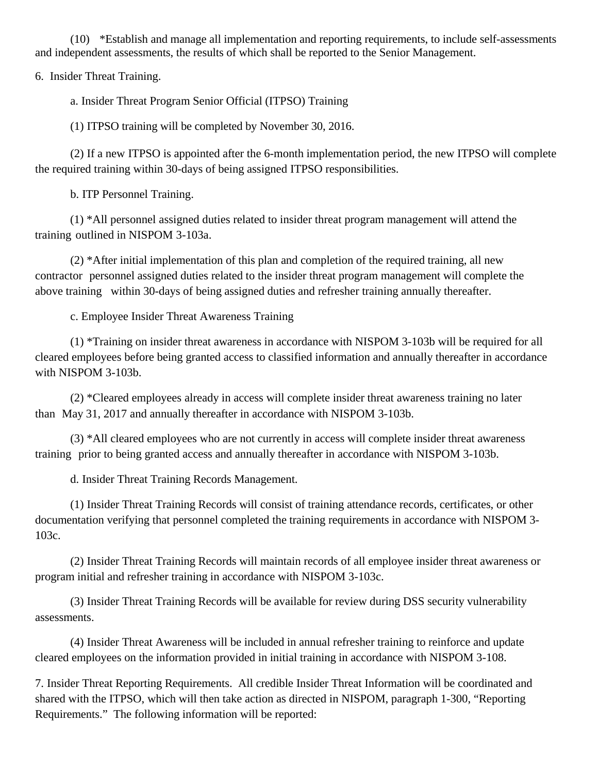(10) \*Establish and manage all implementation and reporting requirements, to include self-assessments and independent assessments, the results of which shall be reported to the Senior Management.

6. Insider Threat Training.

a. Insider Threat Program Senior Official (ITPSO) Training

(1) ITPSO training will be completed by November 30, 2016.

(2) If a new ITPSO is appointed after the 6-month implementation period, the new ITPSO will complete the required training within 30-days of being assigned ITPSO responsibilities.

b. ITP Personnel Training.

(1) \*All personnel assigned duties related to insider threat program management will attend the training outlined in NISPOM 3-103a.

(2) \*After initial implementation of this plan and completion of the required training, all new contractor personnel assigned duties related to the insider threat program management will complete the above training within 30-days of being assigned duties and refresher training annually thereafter.

c. Employee Insider Threat Awareness Training

(1) \*Training on insider threat awareness in accordance with NISPOM 3-103b will be required for all cleared employees before being granted access to classified information and annually thereafter in accordance with NISPOM 3-103b.

(2) \*Cleared employees already in access will complete insider threat awareness training no later than May 31, 2017 and annually thereafter in accordance with NISPOM 3-103b.

(3) \*All cleared employees who are not currently in access will complete insider threat awareness training prior to being granted access and annually thereafter in accordance with NISPOM 3-103b.

d. Insider Threat Training Records Management.

(1) Insider Threat Training Records will consist of training attendance records, certificates, or other documentation verifying that personnel completed the training requirements in accordance with NISPOM 3- 103c.

(2) Insider Threat Training Records will maintain records of all employee insider threat awareness or program initial and refresher training in accordance with NISPOM 3-103c.

(3) Insider Threat Training Records will be available for review during DSS security vulnerability assessments.

(4) Insider Threat Awareness will be included in annual refresher training to reinforce and update cleared employees on the information provided in initial training in accordance with NISPOM 3-108.

7. Insider Threat Reporting Requirements. All credible Insider Threat Information will be coordinated and shared with the ITPSO, which will then take action as directed in NISPOM, paragraph 1-300, "Reporting Requirements." The following information will be reported: